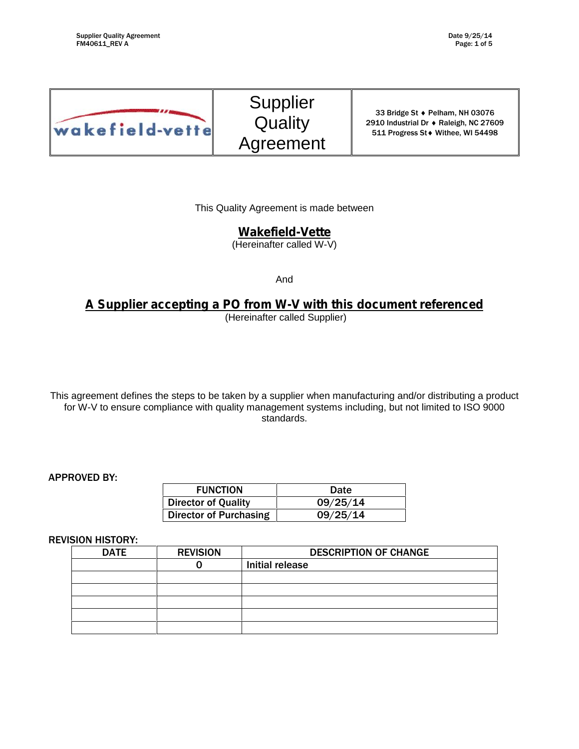

Supplier **Quality** Agreement

33 Bridge St + Pelham, NH 03076 2910 Industrial Dr ♦ Raleigh, NC 27609 511 Progress St • Withee, WI 54498

This Quality Agreement is made between

# **Wakefield-Vette**

(Hereinafter called W-V)

And

# **A Supplier accepting a PO from W-V with this document referenced**

(Hereinafter called Supplier)

This agreement defines the steps to be taken by a supplier when manufacturing and/or distributing a product for W-V to ensure compliance with quality management systems including, but not limited to ISO 9000 standards.

#### APPROVED BY:

| <b>FUNCTION</b>            | Date     |
|----------------------------|----------|
| <b>Director of Quality</b> | 09/25/14 |
| Director of Purchasing     | 09/25/14 |

#### REVISION HISTORY:

| <b>DATE</b> | <b>REVISION</b> | <b>DESCRIPTION OF CHANGE</b> |
|-------------|-----------------|------------------------------|
|             |                 | Initial release              |
|             |                 |                              |
|             |                 |                              |
|             |                 |                              |
|             |                 |                              |
|             |                 |                              |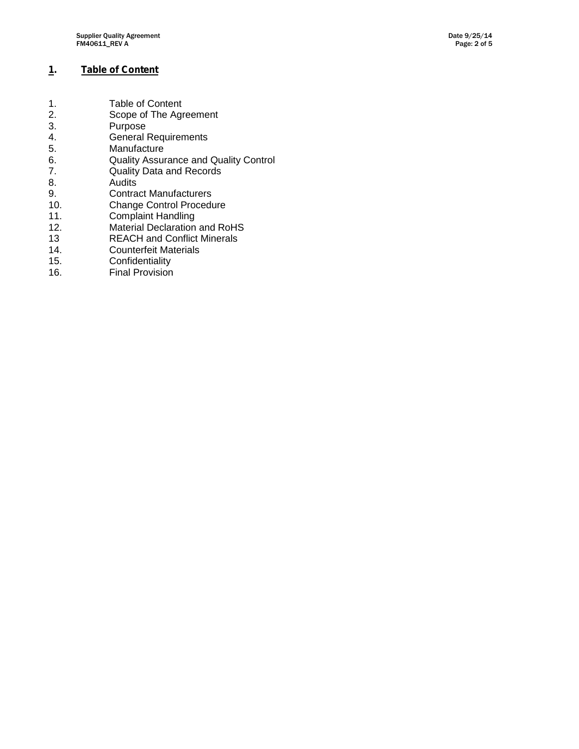# **1. Table of Content**

| <b>Table of Content</b>                      |
|----------------------------------------------|
| Scope of The Agreement                       |
| Purpose                                      |
| <b>General Requirements</b>                  |
| Manufacture                                  |
| <b>Quality Assurance and Quality Control</b> |
| <b>Quality Data and Records</b>              |
| Audits                                       |
| <b>Contract Manufacturers</b>                |
| <b>Change Control Procedure</b>              |
| <b>Complaint Handling</b>                    |
| <b>Material Declaration and RoHS</b>         |
| <b>REACH and Conflict Minerals</b>           |
| <b>Counterfeit Materials</b>                 |
| Confidentiality                              |
|                                              |

16. Final Provision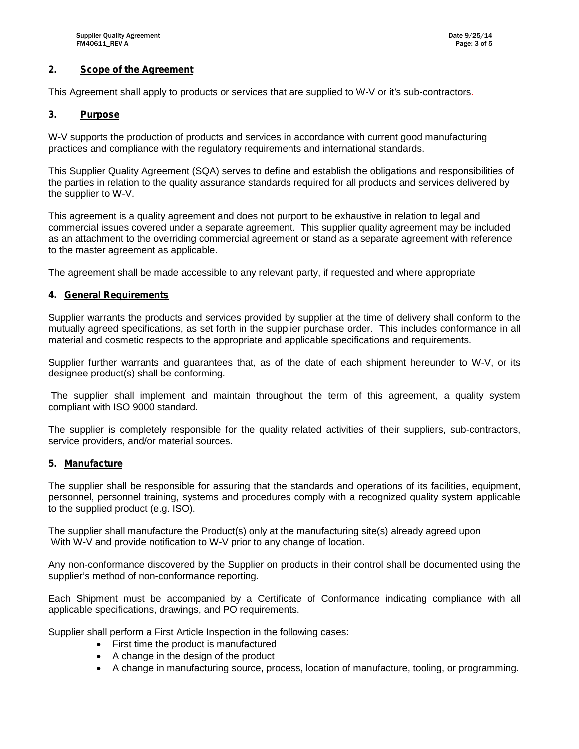## **2. Scope of the Agreement**

This Agreement shall apply to products or services that are supplied to W-V or it's sub-contractors.

### **3. Purpose**

W-V supports the production of products and services in accordance with current good manufacturing practices and compliance with the regulatory requirements and international standards.

This Supplier Quality Agreement (SQA) serves to define and establish the obligations and responsibilities of the parties in relation to the quality assurance standards required for all products and services delivered by the supplier to W-V.

This agreement is a quality agreement and does not purport to be exhaustive in relation to legal and commercial issues covered under a separate agreement. This supplier quality agreement may be included as an attachment to the overriding commercial agreement or stand as a separate agreement with reference to the master agreement as applicable.

The agreement shall be made accessible to any relevant party, if requested and where appropriate

#### **4. General Requirements**

Supplier warrants the products and services provided by supplier at the time of delivery shall conform to the mutually agreed specifications, as set forth in the supplier purchase order. This includes conformance in all material and cosmetic respects to the appropriate and applicable specifications and requirements.

Supplier further warrants and guarantees that, as of the date of each shipment hereunder to W-V, or its designee product(s) shall be conforming.

The supplier shall implement and maintain throughout the term of this agreement, a quality system compliant with ISO 9000 standard.

The supplier is completely responsible for the quality related activities of their suppliers, sub-contractors, service providers, and/or material sources.

#### **5. Manufacture**

The supplier shall be responsible for assuring that the standards and operations of its facilities, equipment, personnel, personnel training, systems and procedures comply with a recognized quality system applicable to the supplied product (e.g. ISO).

The supplier shall manufacture the Product(s) only at the manufacturing site(s) already agreed upon With W-V and provide notification to W-V prior to any change of location.

Any non-conformance discovered by the Supplier on products in their control shall be documented using the supplier's method of non-conformance reporting.

Each Shipment must be accompanied by a Certificate of Conformance indicating compliance with all applicable specifications, drawings, and PO requirements.

Supplier shall perform a First Article Inspection in the following cases:

- First time the product is manufactured
- A change in the design of the product
- A change in manufacturing source, process, location of manufacture, tooling, or programming.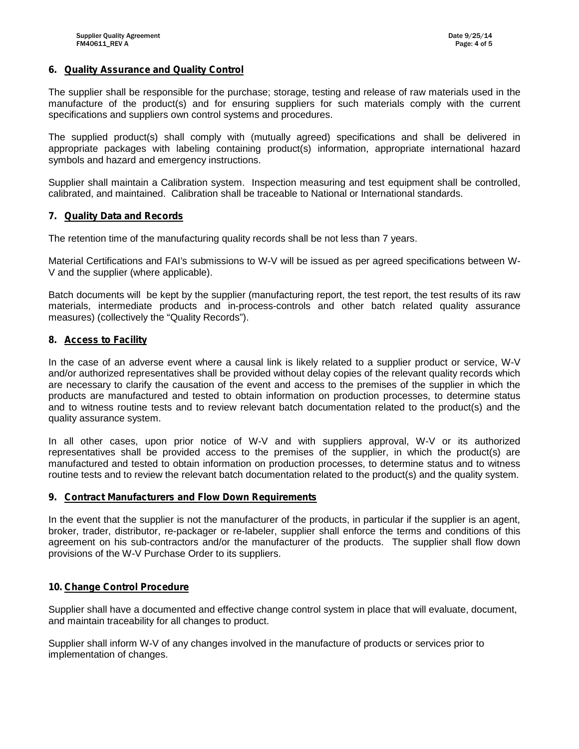#### **6. Quality Assurance and Quality Control**

The supplier shall be responsible for the purchase; storage, testing and release of raw materials used in the manufacture of the product(s) and for ensuring suppliers for such materials comply with the current specifications and suppliers own control systems and procedures.

The supplied product(s) shall comply with (mutually agreed) specifications and shall be delivered in appropriate packages with labeling containing product(s) information, appropriate international hazard symbols and hazard and emergency instructions.

Supplier shall maintain a Calibration system. Inspection measuring and test equipment shall be controlled, calibrated, and maintained. Calibration shall be traceable to National or International standards.

#### **7. Quality Data and Records**

The retention time of the manufacturing quality records shall be not less than 7 years.

Material Certifications and FAI's submissions to W-V will be issued as per agreed specifications between W- V and the supplier (where applicable).

Batch documents will be kept by the supplier (manufacturing report, the test report, the test results of its raw materials, intermediate products and in-process-controls and other batch related quality assurance measures) (collectively the "Quality Records").

#### **8. Access to Facility**

In the case of an adverse event where a causal link is likely related to a supplier product or service, W-V and/or authorized representatives shall be provided without delay copies of the relevant quality records which are necessary to clarify the causation of the event and access to the premises of the supplier in which the products are manufactured and tested to obtain information on production processes, to determine status and to witness routine tests and to review relevant batch documentation related to the product(s) and the quality assurance system.

In all other cases, upon prior notice of W-V and with suppliers approval, W-V or its authorized representatives shall be provided access to the premises of the supplier, in which the product(s) are manufactured and tested to obtain information on production processes, to determine status and to witness routine tests and to review the relevant batch documentation related to the product(s) and the quality system.

#### **9. Contract Manufacturers and Flow Down Requirements**

In the event that the supplier is not the manufacturer of the products, in particular if the supplier is an agent, broker, trader, distributor, re-packager or re-labeler, supplier shall enforce the terms and conditions of this agreement on his sub-contractors and/or the manufacturer of the products. The supplier shall flow down provisions of the W-V Purchase Order to its suppliers.

#### **10. Change Control Procedure**

Supplier shall have a documented and effective change control system in place that will evaluate, document, and maintain traceability for all changes to product.

Supplier shall inform W-V of any changes involved in the manufacture of products or services prior to implementation of changes.